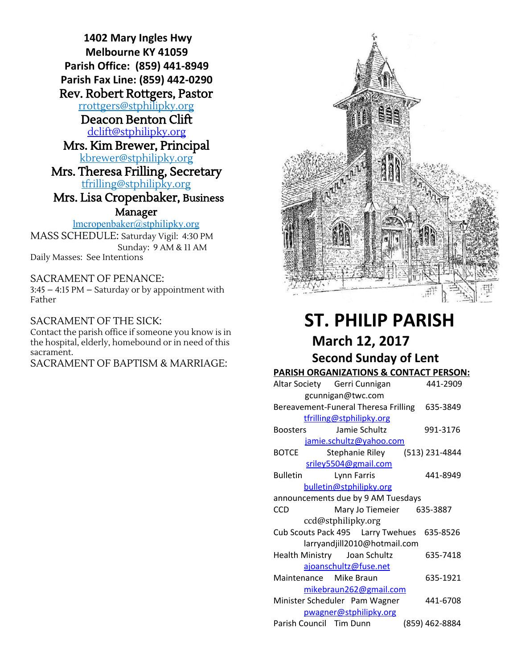**1402 Mary Ingles Hwy Melbourne KY 41059 Parish Office: (859) 441-8949 Parish Fax Line: (859) 442-0290** Rev. Robert Rottgers, Pastor [rrottgers@stphilipky.org](mailto:rrottgers@stphilipky.org) Deacon Benton Clift [dclift@stphilipky.org](mailto:dclift@stphilipky.org) Mrs. Kim Brewer, Principal [kbrewer@stphilipky.org](mailto:kbrewer@stphilipky.org) Mrs. Theresa Frilling, Secretary [tfrilling@stphilipky.org](mailto:tfrilling@stphilipky.org) Mrs. Lisa Cropenbaker, Business Manager lmcropenbaker@stphilipky.org

MASS SCHEDULE: Saturday Vigil: 4:30 PM Sunday: 9 AM & 11 AM Daily Masses: See Intentions

SACRAMENT OF PENANCE:

3:45 – 4:15 PM – Saturday or by appointment with Father

SACRAMENT OF THE SICK: Contact the parish office if someone you know is in the hospital, elderly, homebound or in need of this sacrament.

SACRAMENT OF BAPTISM & MARRIAGE:



# **ST. PHILIP PARISH March 12, 2017 Second Sunday of Lent**

#### **PARISH ORGANIZATIONS & CONTACT PERSON:**

|                                    | Altar Society Gerri Cunnigan                     | 441-2909 |
|------------------------------------|--------------------------------------------------|----------|
|                                    | gcunnigan@twc.com                                |          |
|                                    | Bereavement-Funeral Theresa Frilling 635-3849    |          |
|                                    | tfrilling@stphilipky.org                         |          |
|                                    | Boosters Jamie Schultz                           | 991-3176 |
|                                    | jamie.schultz@yahoo.com                          |          |
|                                    | BOTCE Stephanie Riley (513) 231-4844             |          |
|                                    | sriley5504@gmail.com                             |          |
|                                    | Bulletin Lynn Farris                             | 441-8949 |
|                                    | bulletin@stphilipky.org                          |          |
| announcements due by 9 AM Tuesdays |                                                  |          |
|                                    |                                                  |          |
| CCD                                | Mary Jo Tiemeier 635-3887                        |          |
|                                    | ccd@stphilipky.org                               |          |
|                                    | Cub Scouts Pack 495    Larry Twehues    635-8526 |          |
|                                    | larryandjill2010@hotmail.com                     |          |
|                                    | Health Ministry Joan Schultz                     | 635-7418 |
|                                    | ajoanschultz@fuse.net                            |          |
|                                    | Maintenance Mike Braun                           | 635-1921 |
|                                    | mikebraun262@gmail.com                           |          |
|                                    | Minister Scheduler Pam Wagner                    | 441-6708 |
|                                    | pwagner@stphilipky.org                           |          |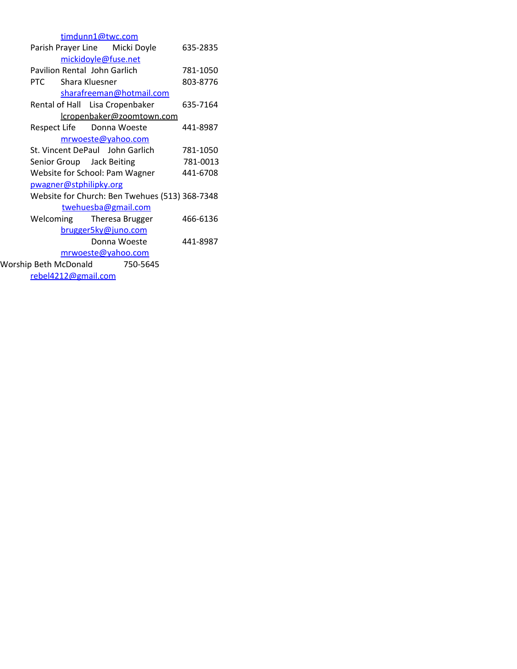| timdunn1@twc.com                               |          |
|------------------------------------------------|----------|
| Parish Prayer Line Micki Doyle                 | 635-2835 |
| mickidoyle@fuse.net                            |          |
| Pavilion Rental John Garlich                   | 781-1050 |
| Shara Kluesner<br>PTC.                         | 803-8776 |
| sharafreeman@hotmail.com                       |          |
| Rental of Hall Lisa Cropenbaker                | 635-7164 |
| lcropenbaker@zoomtown.com                      |          |
| Respect Life Donna Woeste                      | 441-8987 |
| mrwoeste@yahoo.com                             |          |
| St. Vincent DePaul John Garlich                | 781-1050 |
| Senior Group Jack Beiting                      | 781-0013 |
| Website for School: Pam Wagner                 | 441-6708 |
| pwagner@stphilipky.org                         |          |
| Website for Church: Ben Twehues (513) 368-7348 |          |
| twehuesba@gmail.com                            |          |
| Welcoming Theresa Brugger                      | 466-6136 |
| brugger5ky@juno.com                            |          |
| Donna Woeste                                   | 441-8987 |
| mrwoeste@yahoo.com                             |          |
| Worship Beth McDonald 750-5645                 |          |
| rebel4212@gmail.com                            |          |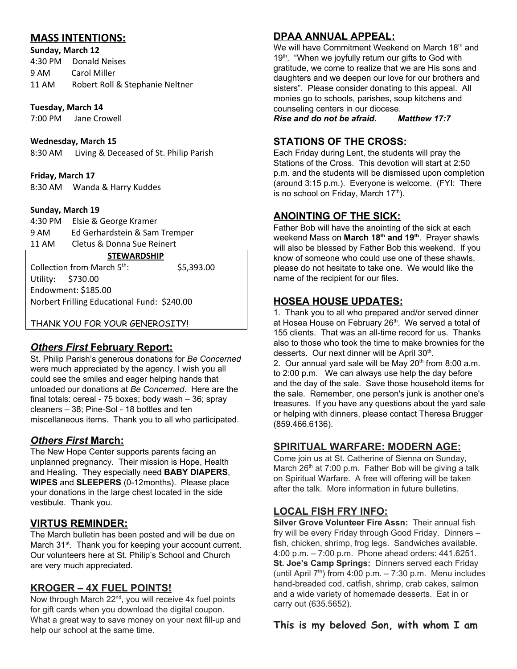## **MASS INTENTIONS:**

**Sunday, March 12** 4:30 PM Donald Neises 9 AM Carol Miller 11 AM Robert Roll & Stephanie Neltner

**Tuesday, March 14** 7:00 PM Jane Crowell

**Wednesday, March 15**

8:30 AM Living & Deceased of St. Philip Parish

**Friday, March 17** 8:30 AM Wanda & Harry Kuddes

#### **Sunday, March 19**

4:30 PM Elsie & George Kramer Ed Gerhardstein & Sam Tremper 11 AM Cletus & Donna Sue Reinert

#### **STEWARDSHIP**

Collection from March 5<sup>th</sup> : \$5,393.00 Utility: \$730.00 Endowment: \$185.00 Norbert Frilling Educational Fund: \$240.00

THANK YOU FOR YOUR GENEROSITY!

#### *Others First* **February Report:**

St. Philip Parish's generous donations for *Be Concerned* were much appreciated by the agency. I wish you all could see the smiles and eager helping hands that unloaded our donations at *Be Concerned*. Here are the final totals: cereal - 75 boxes; body wash – 36; spray cleaners – 38; Pine-Sol - 18 bottles and ten miscellaneous items. Thank you to all who participated.

## *Others First* **March:**

The New Hope Center supports parents facing an unplanned pregnancy. Their mission is Hope, Health and Healing. They especially need **BABY DIAPERS**, **WIPES** and **SLEEPERS** (0-12months). Please place your donations in the large chest located in the side vestibule. Thank you.

#### **VIRTUS REMINDER:**

The March bulletin has been posted and will be due on March 31<sup>st</sup>. Thank you for keeping your account current. Our volunteers here at St. Philip's School and Church are very much appreciated.

#### **KROGER – 4X FUEL POINTS!**

Now through March 22<sup>nd</sup>, you will receive 4x fuel points for gift cards when you download the digital coupon. What a great way to save money on your next fill-up and help our school at the same time.

# **DPAA ANNUAL APPEAL:**

We will have Commitment Weekend on March 18<sup>th</sup> and 19<sup>th</sup>. "When we joyfully return our gifts to God with gratitude, we come to realize that we are His sons and daughters and we deepen our love for our brothers and sisters". Please consider donating to this appeal. All monies go to schools, parishes, soup kitchens and counseling centers in our diocese.

*Rise and do not be afraid. Matthew 17:7*

# **STATIONS OF THE CROSS:**

Each Friday during Lent, the students will pray the Stations of the Cross. This devotion will start at 2:50 p.m. and the students will be dismissed upon completion (around 3:15 p.m.). Everyone is welcome. (FYI: There is no school on Friday, March 17<sup>th</sup>).

## **ANOINTING OF THE SICK:**

Father Bob will have the anointing of the sick at each weekend Mass on **March 18 th and 19 th** . Prayer shawls will also be blessed by Father Bob this weekend. If you know of someone who could use one of these shawls, please do not hesitate to take one. We would like the name of the recipient for our files.

## **HOSEA HOUSE UPDATES:**

1. Thank you to all who prepared and/or served dinner at Hosea House on February 26<sup>th</sup>. We served a total of 155 clients. That was an all-time record for us. Thanks also to those who took the time to make brownies for the desserts. Our next dinner will be April 30<sup>th</sup>.

2. Our annual yard sale will be May  $20<sup>th</sup>$  from 8:00 a.m. to 2:00 p.m. We can always use help the day before and the day of the sale. Save those household items for the sale. Remember, one person's junk is another one's treasures. If you have any questions about the yard sale or helping with dinners, please contact Theresa Brugger (859.466.6136).

# **SPIRITUAL WARFARE: MODERN AGE:**

Come join us at St. Catherine of Sienna on Sunday, March 26<sup>th</sup> at 7:00 p.m. Father Bob will be giving a talk on Spiritual Warfare. A free will offering will be taken after the talk. More information in future bulletins.

#### **LOCAL FISH FRY INFO:**

**Silver Grove Volunteer Fire Assn:** Their annual fish fry will be every Friday through Good Friday. Dinners – fish, chicken, shrimp, frog legs. Sandwiches available. 4:00 p.m. – 7:00 p.m. Phone ahead orders: 441.6251. **St. Joe's Camp Springs:** Dinners served each Friday (until April  $7<sup>th</sup>$ ) from 4:00 p.m. – 7:30 p.m. Menu includes hand-breaded cod, catfish, shrimp, crab cakes, salmon and a wide variety of homemade desserts. Eat in or carry out (635.5652).

**This is my beloved Son, with whom I am**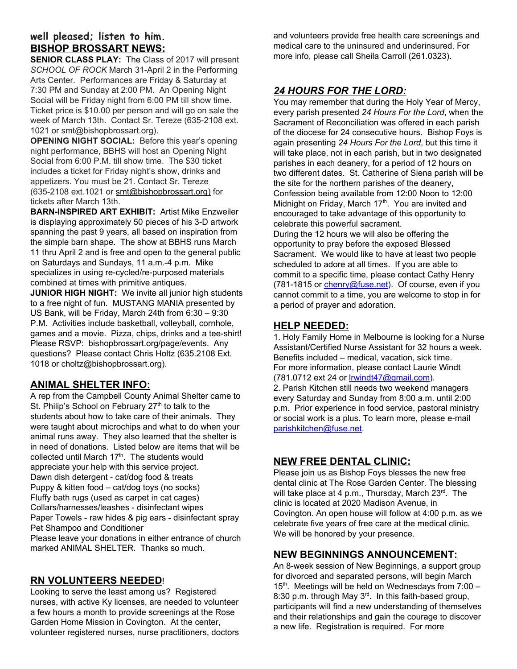# **well pleased; listen to him. BISHOP BROSSART NEWS:**

**SENIOR CLASS PLAY:** The Class of 2017 will present *SCHOOL OF ROCK* March 31-April 2 in the Performing Arts Center. Performances are Friday & Saturday at 7:30 PM and Sunday at 2:00 PM. An Opening Night Social will be Friday night from 6:00 PM till show time. Ticket price is \$10.00 per person and will go on sale the week of March 13th. Contact Sr. Tereze (635-2108 ext. 1021 or smt@bishopbrossart.org).

**OPENING NIGHT SOCIAL:** Before this year's opening night performance, BBHS will host an Opening Night Social from 6:00 P.M. till show time. The \$30 ticket includes a ticket for Friday night's show, drinks and appetizers. You must be 21. Contact Sr. Tereze (635-2108 ext.1021 or [smt@bishopbrossart.org\)](mailto:smt@bishopbrossart.org) for tickets after March 13th.

**BARN-INSPIRED ART EXHIBIT:** Artist Mike Enzweiler is displaying approximately 50 pieces of his 3-D artwork spanning the past 9 years, all based on inspiration from the simple barn shape. The show at BBHS runs March 11 thru April 2 and is free and open to the general public on Saturdays and Sundays, 11 a.m.-4 p.m. Mike specializes in using re-cycled/re-purposed materials combined at times with primitive antiques.

**JUNIOR HIGH NIGHT:** We invite all junior high students to a free night of fun. MUSTANG MANIA presented by US Bank, will be Friday, March 24th from 6:30 – 9:30 P.M. Activities include basketball, volleyball, cornhole, games and a movie. Pizza, chips, drinks and a tee-shirt! Please RSVP: bishopbrossart.org/page/events. Any questions? Please contact Chris Holtz (635.2108 Ext. 1018 or choltz@bishopbrossart.org).

## **ANIMAL SHELTER INFO:**

A rep from the Campbell County Animal Shelter came to St. Philip's School on February 27<sup>th</sup> to talk to the students about how to take care of their animals. They were taught about microchips and what to do when your animal runs away. They also learned that the shelter is in need of donations. Listed below are items that will be collected until March 17<sup>th</sup>. The students would appreciate your help with this service project. Dawn dish detergent - cat/dog food & treats Puppy & kitten food – cat/dog toys (no socks) Fluffy bath rugs (used as carpet in cat cages) Collars/harnesses/leashes - disinfectant wipes Paper Towels - raw hides & pig ears - disinfectant spray Pet Shampoo and Conditioner Please leave your donations in either entrance of church marked ANIMAL SHELTER. Thanks so much.

## **RN VOLUNTEERS NEEDED**!

Looking to serve the least among us? Registered nurses, with active Ky licenses, are needed to volunteer a few hours a month to provide screenings at the Rose Garden Home Mission in Covington. At the center, volunteer registered nurses, nurse practitioners, doctors and volunteers provide free health care screenings and medical care to the uninsured and underinsured. For more info, please call Sheila Carroll (261.0323).

## *24 HOURS FOR THE LORD:*

You may remember that during the Holy Year of Mercy, every parish presented *24 Hours For the Lord*, when the Sacrament of Reconciliation was offered in each parish of the diocese for 24 consecutive hours. Bishop Foys is again presenting *24 Hours For the Lord*, but this time it will take place, not in each parish, but in two designated parishes in each deanery, for a period of 12 hours on two different dates. St. Catherine of Siena parish will be the site for the northern parishes of the deanery, Confession being available from 12:00 Noon to 12:00 Midnight on Friday, March 17<sup>th</sup>. You are invited and encouraged to take advantage of this opportunity to celebrate this powerful sacrament.

During the 12 hours we will also be offering the opportunity to pray before the exposed Blessed Sacrament. We would like to have at least two people scheduled to adore at all times. If you are able to commit to a specific time, please contact Cathy Henry (781-1815 or [chenry@fuse.net\)](mailto:chenry@fuse.net). Of course, even if you cannot commit to a time, you are welcome to stop in for a period of prayer and adoration.

#### **HELP NEEDED:**

1. Holy Family Home in Melbourne is looking for a Nurse Assistant/Certified Nurse Assistant for 32 hours a week. Benefits included – medical, vacation, sick time. For more information, please contact Laurie Windt (781.0712 ext 24 or [lrwindt47@gmail.com](mailto:lrwindt47@gmail.com)).

2. Parish Kitchen still needs two weekend managers every Saturday and Sunday from 8:00 a.m. until 2:00 p.m. Prior experience in food service, pastoral ministry or social work is a plus. To learn more, please e-mail [parishkitchen@fuse.net.](mailto:parishkitchen@fuse.net)

# **NEW FREE DENTAL CLINIC:**

Please join us as Bishop Foys blesses the new free dental clinic at The Rose Garden Center. The blessing will take place at 4 p.m., Thursday, March 23<sup>rd</sup>. The clinic is located at 2020 Madison Avenue, in Covington. An open house will follow at 4:00 p.m. as we celebrate five years of free care at the medical clinic. We will be honored by your presence.

## **NEW BEGINNINGS ANNOUNCEMENT:**

An 8-week session of New Beginnings, a support group for divorced and separated persons, will begin March 15<sup>th</sup>. Meetings will be held on Wednesdays from 7:00 -8:30 p.m. through May  $3<sup>rd</sup>$ . In this faith-based group, participants will find a new understanding of themselves and their relationships and gain the courage to discover a new life. Registration is required. For more